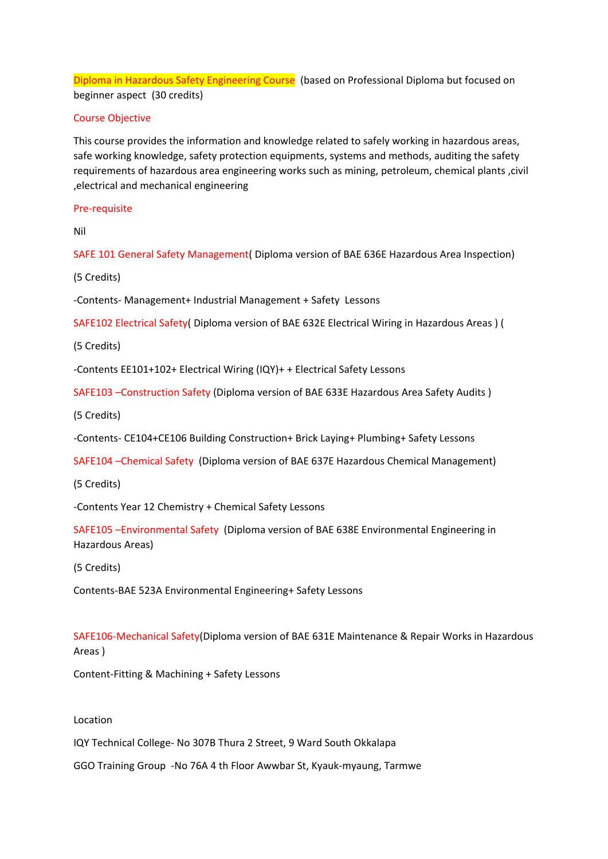Diploma in Hazardous Safety Engineering Course (based on Professional Diploma but focused on beginner aspect (30 credits)

# Course Objective

This course provides the information and knowledge related to safely working in hazardous areas, safe working knowledge, safety protection equipments, systems and methods, auditing the safety requirements of hazardous area engineering works such as mining, petroleum, chemical plants ,civil ,electrical and mechanical engineering

## Pre-requisite

Nil

SAFE 101 General Safety Management( Diploma version of BAE 636E Hazardous Area Inspection)

(5 Credits)

-Contents- Management+ Industrial Management + Safety Lessons

SAFE102 Electrical Safety( Diploma version of BAE 632E Electrical Wiring in Hazardous Areas ) (

(5 Credits)

-Contents EE101+102+ Electrical Wiring (IQY)+ + Electrical Safety Lessons

SAFE103 –Construction Safety (Diploma version of BAE 633E Hazardous Area Safety Audits )

(5 Credits)

-Contents- CE104+CE106 Building Construction+ Brick Laying+ Plumbing+ Safety Lessons

SAFE104 –Chemical Safety (Diploma version of BAE 637E Hazardous Chemical Management)

(5 Credits)

-Contents Year 12 Chemistry + Chemical Safety Lessons

SAFE105 –Environmental Safety (Diploma version of BAE 638E Environmental Engineering in Hazardous Areas)

(5 Credits)

Contents-BAE 523A Environmental Engineering+ Safety Lessons

SAFE106-Mechanical Safety(Diploma version of BAE 631E Maintenance & Repair Works in Hazardous Areas )

Content-Fitting & Machining + Safety Lessons

# Location

IQY Technical College- No 307B Thura 2 Street, 9 Ward South Okkalapa

GGO Training Group -No 76A 4 th Floor Awwbar St, Kyauk-myaung, Tarmwe